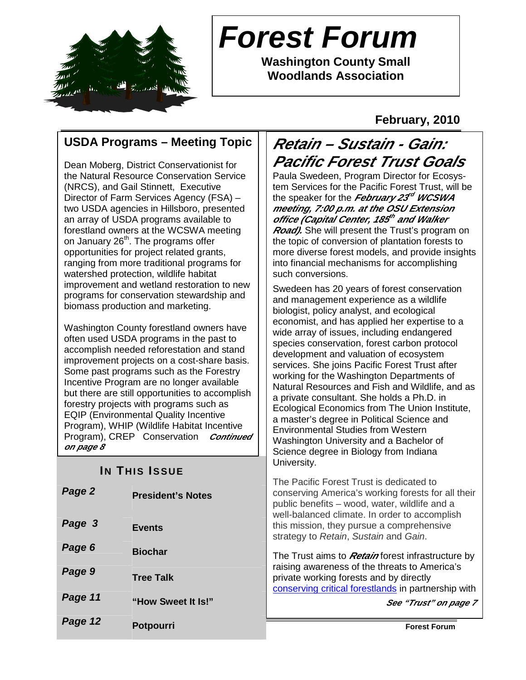

# **Forest Forum**

**Washington County Small Woodlands Association** 

## **February, 2010**

# **USDA Programs – Meeting Topic**

Dean Moberg, District Conservationist for the Natural Resource Conservation Service (NRCS), and Gail Stinnett, Executive Director of Farm Services Agency (FSA) – two USDA agencies in Hillsboro, presented an array of USDA programs available to forestland owners at the WCSWA meeting on January 26<sup>th</sup>. The programs offer opportunities for project related grants, ranging from more traditional programs for watershed protection, wildlife habitat improvement and wetland restoration to new programs for conservation stewardship and biomass production and marketing.

Washington County forestland owners have often used USDA programs in the past to accomplish needed reforestation and stand improvement projects on a cost-share basis. Some past programs such as the Forestry Incentive Program are no longer available but there are still opportunities to accomplish forestry projects with programs such as EQIP (Environmental Quality Incentive Program), WHIP (Wildlife Habitat Incentive Program), CREP Conservation **Continued on page 8**  j

# **IN THIS ISSUE**

| Page 12 | <b>Potpourri</b>         | <b>Forest Forum</b>                                                                                                                       |
|---------|--------------------------|-------------------------------------------------------------------------------------------------------------------------------------------|
| Page 11 | "How Sweet It Is!"       | See "Trust" on pa                                                                                                                         |
| Page 9  | <b>Tree Talk</b>         | private working forests and by directly<br>conserving critical forestlands in partnership                                                 |
| Page 6  | <b>Biochar</b>           | The Trust aims to <i>Retain</i> forest infrastructur<br>raising awareness of the threats to America'                                      |
| Page 3  | <b>Events</b>            | well-balanced climate. In order to accomplis<br>this mission, they pursue a comprehensive<br>strategy to Retain, Sustain and Gain.        |
| Page 2  | <b>President's Notes</b> | The Pacific Forest Trust is dedicated to<br>conserving America's working forests for all<br>public benefits - wood, water, wildlife and a |

# **Retain – Sustain - Gain: Pacific Forest Trust Goals**

Paula Swedeen, Program Director for Ecosystem Services for the Pacific Forest Trust, will be the speaker for the *February 23<sup>rd</sup> WCSWA* **meeting, 7:00 p.m. at the OSU Extension office (Capital Center, 185 th and Walker Road).** She will present the Trust's program on the topic of conversion of plantation forests to more diverse forest models, and provide insights into financial mechanisms for accomplishing such conversions.

Swedeen has 20 years of forest conservation and management experience as a wildlife biologist, policy analyst, and ecological economist, and has applied her expertise to a wide array of issues, including endangered species conservation, forest carbon protocol development and valuation of ecosystem services. She joins Pacific Forest Trust after working for the Washington Departments of Natural Resources and Fish and Wildlife, and as a private consultant. She holds a Ph.D. in Ecological Economics from The Union Institute, a master's degree in Political Science and Environmental Studies from Western Washington University and a Bachelor of Science degree in Biology from Indiana University.

The Pacific Forest Trust is dedicated to nserving America's working forests for all their iblic benefits – wood, water, wildlife and a ell-balanced climate. In order to accomplish is mission, they pursue a comprehensive rategy to Retain, Sustain and Gain.

he Trust aims to *Retain* forest infrastructure by ising awareness of the threats to America's ivate working forests and by directly nserving critical forestlands in partnership with

**See "Trust" on page 7**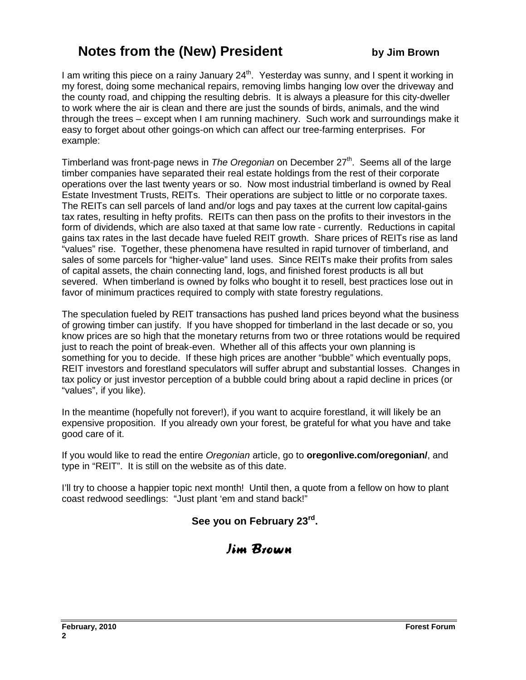# **Notes from the (New) President by Jim Brown**

I am writing this piece on a rainy January  $24<sup>th</sup>$ . Yesterday was sunny, and I spent it working in my forest, doing some mechanical repairs, removing limbs hanging low over the driveway and the county road, and chipping the resulting debris. It is always a pleasure for this city-dweller to work where the air is clean and there are just the sounds of birds, animals, and the wind through the trees – except when I am running machinery. Such work and surroundings make it easy to forget about other goings-on which can affect our tree-farming enterprises. For example:

Timberland was front-page news in The Oregonian on December 27<sup>th</sup>. Seems all of the large timber companies have separated their real estate holdings from the rest of their corporate operations over the last twenty years or so. Now most industrial timberland is owned by Real Estate Investment Trusts, REITs. Their operations are subject to little or no corporate taxes. The REITs can sell parcels of land and/or logs and pay taxes at the current low capital-gains tax rates, resulting in hefty profits. REITs can then pass on the profits to their investors in the form of dividends, which are also taxed at that same low rate - currently. Reductions in capital gains tax rates in the last decade have fueled REIT growth. Share prices of REITs rise as land "values" rise. Together, these phenomena have resulted in rapid turnover of timberland, and sales of some parcels for "higher-value" land uses. Since REITs make their profits from sales of capital assets, the chain connecting land, logs, and finished forest products is all but severed. When timberland is owned by folks who bought it to resell, best practices lose out in favor of minimum practices required to comply with state forestry regulations.

The speculation fueled by REIT transactions has pushed land prices beyond what the business of growing timber can justify. If you have shopped for timberland in the last decade or so, you know prices are so high that the monetary returns from two or three rotations would be required just to reach the point of break-even. Whether all of this affects your own planning is something for you to decide. If these high prices are another "bubble" which eventually pops, REIT investors and forestland speculators will suffer abrupt and substantial losses. Changes in tax policy or just investor perception of a bubble could bring about a rapid decline in prices (or "values", if you like).

In the meantime (hopefully not forever!), if you want to acquire forestland, it will likely be an expensive proposition. If you already own your forest, be grateful for what you have and take good care of it.

If you would like to read the entire Oregonian article, go to **oregonlive.com/oregonian/**, and type in "REIT". It is still on the website as of this date.

I'll try to choose a happier topic next month! Until then, a quote from a fellow on how to plant coast redwood seedlings: "Just plant 'em and stand back!"

### **See you on February 23rd .**

# Jim Brown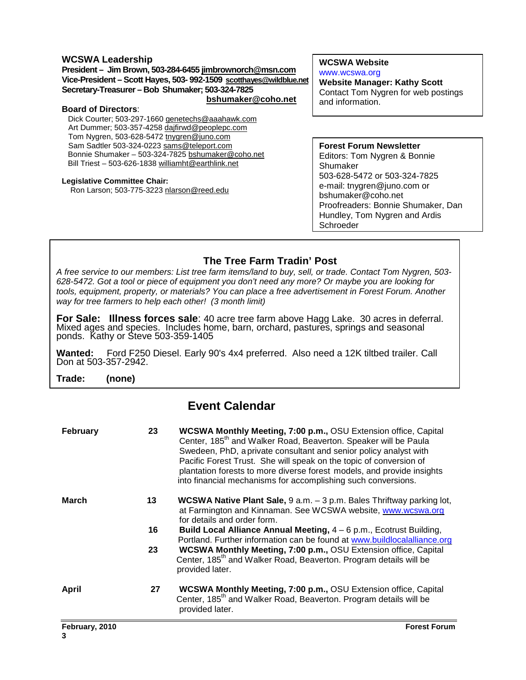#### **WCSWA Leadership**

**President – Jim Brown, 503-284-6455 jimbrownorch@msn.com Vice-President – Scott Hayes, 503- 992-1509 scotthayes@wildblue.net Secretary-Treasurer – Bob Shumaker; 503-324-7825 bshumaker@coho.net**

#### **Board of Directors**:

Dick Courter; 503-297-1660 genetechs@aaahawk.com Art Dummer; 503-357-4258 dajfirwd@peoplepc.com Tom Nygren, 503-628-5472 tnygren@juno.com Sam Sadtler 503-324-0223 sams@teleport.com Bonnie Shumaker – 503-324-7825 bshumaker@coho.net Bill Triest – 503-626-1838 williamht@earthlink.net

#### **Legislative Committee Chair:**

Ron Larson; 503-775-3223 nlarson@reed.edu

**WCSWA Website** www.wcswa.org

**Website Manager: Kathy Scott** Contact Tom Nygren for web postings and information.

**Forest Forum Newsletter** Editors: Tom Nygren & Bonnie Shumaker 503-628-5472 or 503-324-7825 e-mail: tnygren@juno.com or bshumaker@coho.net Proofreaders: Bonnie Shumaker, Dan Hundley, Tom Nygren and Ardis Schroeder

### **The Tree Farm Tradin' Post**

 628-5472. Got a tool or piece of equipment you don't need any more? Or maybe you are looking for A free service to our members: List tree farm items/land to buy, sell, or trade. Contact Tom Nygren, 503 tools, equipment, property, or materials? You can place a free advertisement in Forest Forum. Another way for tree farmers to help each other! (3 month limit)

**For Sale: Illness forces sale**: 40 acre tree farm above Hagg Lake. 30 acres in deferral. Mixed ages and species. Includes home, barn, orchard, pastures, springs and seasonal ponds. Kathy or Steve 503-359-1405

**Wanted:** Ford F250 Diesel. Early 90's 4x4 preferred. Also need a 12K tiltbed trailer. Call Don at 503-357-2942.

**Trade: (none)** 

### **Event Calendar**

| February     | 23 | <b>WCSWA Monthly Meeting, 7:00 p.m., OSU Extension office, Capital</b><br>Center, 185 <sup>th</sup> and Walker Road, Beaverton. Speaker will be Paula<br>Swedeen, PhD, a private consultant and senior policy analyst with<br>Pacific Forest Trust. She will speak on the topic of conversion of<br>plantation forests to more diverse forest models, and provide insights<br>into financial mechanisms for accomplishing such conversions. |
|--------------|----|---------------------------------------------------------------------------------------------------------------------------------------------------------------------------------------------------------------------------------------------------------------------------------------------------------------------------------------------------------------------------------------------------------------------------------------------|
| March        | 13 | <b>WCSWA Native Plant Sale, <math>9 a.m. - 3 p.m.</math></b> Bales Thriftway parking lot,<br>at Farmington and Kinnaman. See WCSWA website, www.wcswa.org<br>for details and order form.                                                                                                                                                                                                                                                    |
|              | 16 | Build Local Alliance Annual Meeting, $4 - 6$ p.m., Ecotrust Building,<br>Portland. Further information can be found at www.buildlocalalliance.org                                                                                                                                                                                                                                                                                           |
|              | 23 | WCSWA Monthly Meeting, 7:00 p.m., OSU Extension office, Capital<br>Center, 185 <sup>th</sup> and Walker Road, Beaverton. Program details will be<br>provided later.                                                                                                                                                                                                                                                                         |
| <b>April</b> | 27 | <b>WCSWA Monthly Meeting, 7:00 p.m., OSU Extension office, Capital</b><br>Center, 185 <sup>th</sup> and Walker Road, Beaverton. Program details will be<br>provided later.                                                                                                                                                                                                                                                                  |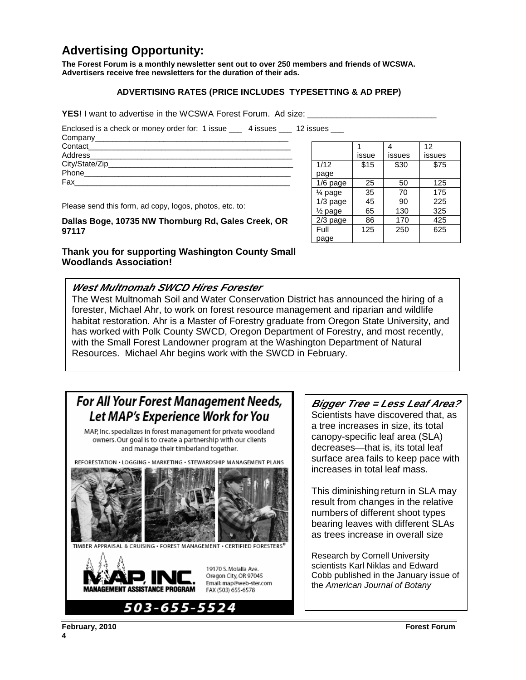# **Advertising Opportunity:**

**The Forest Forum is a monthly newsletter sent out to over 250 members and friends of WCSWA. Advertisers receive free newsletters for the duration of their ads.** 

#### **ADVERTISING RATES (PRICE INCLUDES TYPESETTING & AD PREP)**

**YES!** I want to advertise in the WCSWA Forest Forum. Ad size:

Enclosed is a check or money order for: 1 issue \_\_\_ 4 issues \_\_\_ 12 issues \_\_\_

| Contact______________________                                                                            |  |
|----------------------------------------------------------------------------------------------------------|--|
|                                                                                                          |  |
|                                                                                                          |  |
| Phone<br>the contract of the contract of the contract of the contract of the contract of the contract of |  |
| Fax                                                                                                      |  |
|                                                                                                          |  |

1 issue 4 issues 12 issues 1/12 page  $$15$   $$30$   $$75$ 1/6 page | 25 | 50 | 125  $\frac{1}{4}$  page  $\begin{array}{|c|c|c|c|c|} \hline 35 & 70 & 175 \end{array}$ 1/3 page  $\begin{array}{|c|c|c|c|c|} 45 & 90 & 225 \end{array}$  $\frac{1}{2}$  page | 65 | 130 | 325  $2/3$  page | 86 | 170 | 425 Full page 125 250 625

Please send this form, ad copy, logos, photos, etc. to:

**Dallas Boge, 10735 NW Thornburg Rd, Gales Creek, OR 97117** 

### **Thank you for supporting Washington County Small Woodlands Association!**

### **West Multnomah SWCD Hires Forester**

The West Multnomah Soil and Water Conservation District has announced the hiring of a forester, Michael Ahr, to work on forest resource management and riparian and wildlife habitat restoration. Ahr is a Master of Forestry graduate from Oregon State University, and has worked with Polk County SWCD, Oregon Department of Forestry, and most recently, with the Small Forest Landowner program at the Washington Department of Natural Resources. Michael Ahr begins work with the SWCD in February.

# **For All Your Forest Management Needs,** Let MAP's Experience Work for You

MAP, Inc. specializes in forest management for private woodland owners. Our goal is to create a partnership with our clients and manage their timberland together.







### **Bigger Tree = Less Leaf Area?**

Scientists have discovered that, as a tree increases in size, its total canopy-specific leaf area (SLA) decreases—that is, its total leaf surface area fails to keep pace with increases in total leaf mass.

This diminishing return in SLA may result from changes in the relative numbers of different shoot types bearing leaves with different SLAs as trees increase in overall size

Research by Cornell University scientists Karl Niklas and Edward Cobb published in the January issue of the American Journal of Botany

**February, 2010 Forest Forum**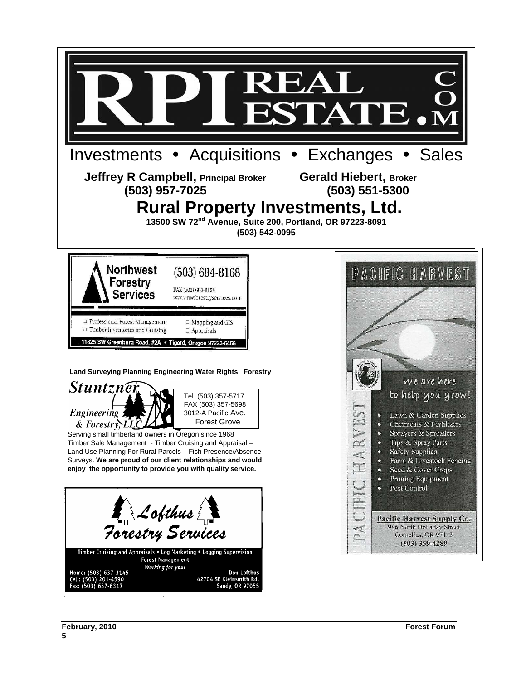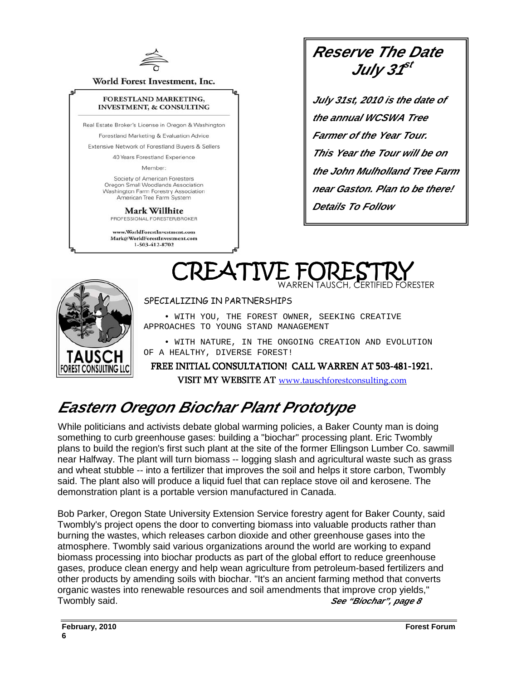

World Forest Investment, Inc.

#### FORESTLAND MARKETING, **INVESTMENT, & CONSULTING**

Real Estate Broker's License in Oregon & Washington

Forestland Marketing & Evaluation Advice

Extensive Network of Forestland Buvers & Sellers

40 Years Forestland Experience Member:

Society of American Foresters Oregon Small Woodlands Association Washington Farm Forestry Association American Tree Farm System

**Mark Willhite** 

PROFESSIONAL FORESTER/BROKER

www.WorldForestInvestment.com Mark@WorldForestInvestment.com 1-503-412-8702

**Reserve The Date July 31 st** 

**July 31st, 2010 is the date of the annual WCSWA Tree Farmer of the Year Tour. This Year the Tour will be on the John Mulholland Tree Farm near Gaston. Plan to be there! Details To Follow**

WARREN TAUSCH, CERTIFIED FORESTER



#### SPECIALIZING IN PARTNERSHIPS

CREATIVE F

 • WITH YOU, THE FOREST OWNER, SEEKING CREATIVE APPROACHES TO YOUNG STAND MANAGEMENT

 • WITH NATURE, IN THE ONGOING CREATION AND EVOLUTION OF A HEALTHY, DIVERSE FOREST!

FREE INITIAL CONSULTATION! CALL WARREN AT 503-481-1921. VISIT MY WEBSITE AT www.tauschforestconsulting.com

# **Eastern Oregon Biochar Plant Prototype**

While politicians and activists debate global warming policies, a Baker County man is doing something to curb greenhouse gases: building a "biochar" processing plant. Eric Twombly plans to build the region's first such plant at the site of the former Ellingson Lumber Co. sawmill near Halfway. The plant will turn biomass -- logging slash and agricultural waste such as grass and wheat stubble -- into a fertilizer that improves the soil and helps it store carbon, Twombly said. The plant also will produce a liquid fuel that can replace stove oil and kerosene. The demonstration plant is a portable version manufactured in Canada.

Bob Parker, Oregon State University Extension Service forestry agent for Baker County, said Twombly's project opens the door to converting biomass into valuable products rather than burning the wastes, which releases carbon dioxide and other greenhouse gases into the atmosphere. Twombly said various organizations around the world are working to expand biomass processing into biochar products as part of the global effort to reduce greenhouse gases, produce clean energy and help wean agriculture from petroleum-based fertilizers and other products by amending soils with biochar. "It's an ancient farming method that converts organic wastes into renewable resources and soil amendments that improve crop yields," Twombly said. **See "Biochar", page 8**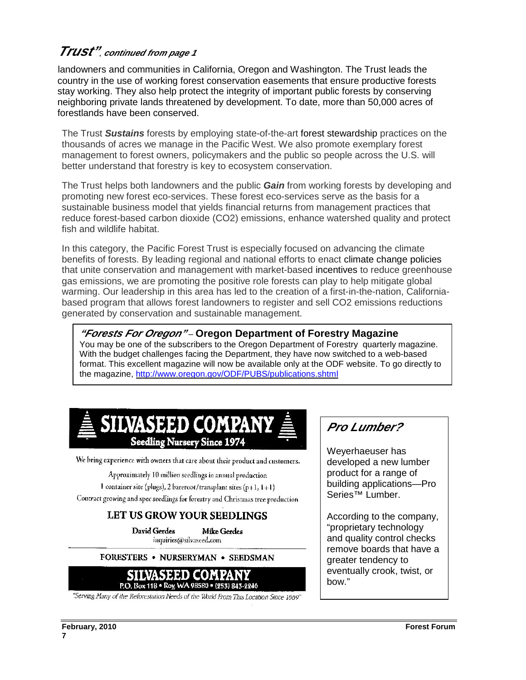# **Trust"**, **continued from page 1**

landowners and communities in California, Oregon and Washington. The Trust leads the country in the use of working forest conservation easements that ensure productive forests stay working. They also help protect the integrity of important public forests by conserving neighboring private lands threatened by development. To date, more than 50,000 acres of forestlands have been conserved.

The Trust **Sustains** forests by employing state-of-the-art forest stewardship practices on the thousands of acres we manage in the Pacific West. We also promote exemplary forest management to forest owners, policymakers and the public so people across the U.S. will better understand that forestry is key to ecosystem conservation.

The Trust helps both landowners and the public **Gain** from working forests by developing and promoting new forest eco-services. These forest eco-services serve as the basis for a sustainable business model that yields financial returns from management practices that reduce forest-based carbon dioxide (CO2) emissions, enhance watershed quality and protect fish and wildlife habitat.

In this category, the Pacific Forest Trust is especially focused on advancing the climate benefits of forests. By leading regional and national efforts to enact climate change policies that unite conservation and management with market-based incentives to reduce greenhouse gas emissions, we are promoting the positive role forests can play to help mitigate global warming. Our leadership in this area has led to the creation of a first-in-the-nation, Californiabased program that allows forest landowners to register and sell CO2 emissions reductions generated by conservation and sustainable management.

**"Forests For Oregon"** – **Oregon Department of Forestry Magazine** 

You may be one of the subscribers to the Oregon Department of Forestry quarterly magazine. With the budget challenges facing the Department, they have now switched to a web-based format. This excellent magazine will now be available only at the ODF website. To go directly to the magazine, http://www.oregon.gov/ODF/PUBS/publications.shtml

# SILVASEED COMPANY **Seedling Nursery Since 1974**

We bring experience with owners that care about their product and customers.

Approximately 10 million seedlings in annual production 1 container site (plugs), 2 bareroot/transplant sites (p+1,  $1+1$ ) Contract growing and spec seedlings for forestry and Christmas tree production

### LET US GROW YOUR SEEDLINGS

David Gerdes **Mike Gerdes** inquiries@silvaseed.com

FORESTERS . NURSERYMAN . SEEDSMAN



"Serving Many of the Reforestation Needs of the World From This Location Since 1889"

# **Pro Lumber?**

Weyerhaeuser has developed a new lumber product for a range of building applications—Pro Series™ Lumber.

According to the company, "proprietary technology and quality control checks remove boards that have a greater tendency to eventually crook, twist, or bow."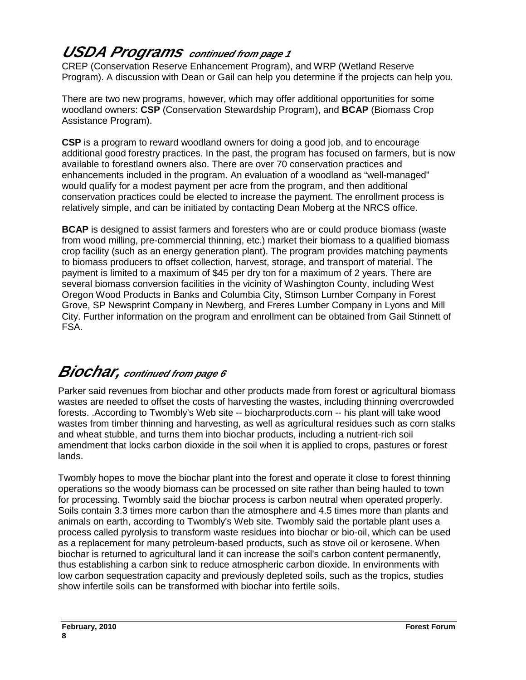# **USDA Programs continued from page 1**

CREP (Conservation Reserve Enhancement Program), and WRP (Wetland Reserve Program). A discussion with Dean or Gail can help you determine if the projects can help you.

There are two new programs, however, which may offer additional opportunities for some woodland owners: **CSP** (Conservation Stewardship Program), and **BCAP** (Biomass Crop Assistance Program).

**CSP** is a program to reward woodland owners for doing a good job, and to encourage additional good forestry practices. In the past, the program has focused on farmers, but is now available to forestland owners also. There are over 70 conservation practices and enhancements included in the program. An evaluation of a woodland as "well-managed" would qualify for a modest payment per acre from the program, and then additional conservation practices could be elected to increase the payment. The enrollment process is relatively simple, and can be initiated by contacting Dean Moberg at the NRCS office.

**BCAP** is designed to assist farmers and foresters who are or could produce biomass (waste from wood milling, pre-commercial thinning, etc.) market their biomass to a qualified biomass crop facility (such as an energy generation plant). The program provides matching payments to biomass producers to offset collection, harvest, storage, and transport of material. The payment is limited to a maximum of \$45 per dry ton for a maximum of 2 years. There are several biomass conversion facilities in the vicinity of Washington County, including West Oregon Wood Products in Banks and Columbia City, Stimson Lumber Company in Forest Grove, SP Newsprint Company in Newberg, and Freres Lumber Company in Lyons and Mill City. Further information on the program and enrollment can be obtained from Gail Stinnett of FSA.

# **Biochar, continued from page 6**

Parker said revenues from biochar and other products made from forest or agricultural biomass wastes are needed to offset the costs of harvesting the wastes, including thinning overcrowded forests. .According to Twombly's Web site -- biocharproducts.com -- his plant will take wood wastes from timber thinning and harvesting, as well as agricultural residues such as corn stalks and wheat stubble, and turns them into biochar products, including a nutrient-rich soil amendment that locks carbon dioxide in the soil when it is applied to crops, pastures or forest lands.

Twombly hopes to move the biochar plant into the forest and operate it close to forest thinning operations so the woody biomass can be processed on site rather than being hauled to town for processing. Twombly said the biochar process is carbon neutral when operated properly. Soils contain 3.3 times more carbon than the atmosphere and 4.5 times more than plants and animals on earth, according to Twombly's Web site. Twombly said the portable plant uses a process called pyrolysis to transform waste residues into biochar or bio-oil, which can be used as a replacement for many petroleum-based products, such as stove oil or kerosene. When biochar is returned to agricultural land it can increase the soil's carbon content permanently, thus establishing a carbon sink to reduce atmospheric carbon dioxide. In environments with low carbon sequestration capacity and previously depleted soils, such as the tropics, studies show infertile soils can be transformed with biochar into fertile soils.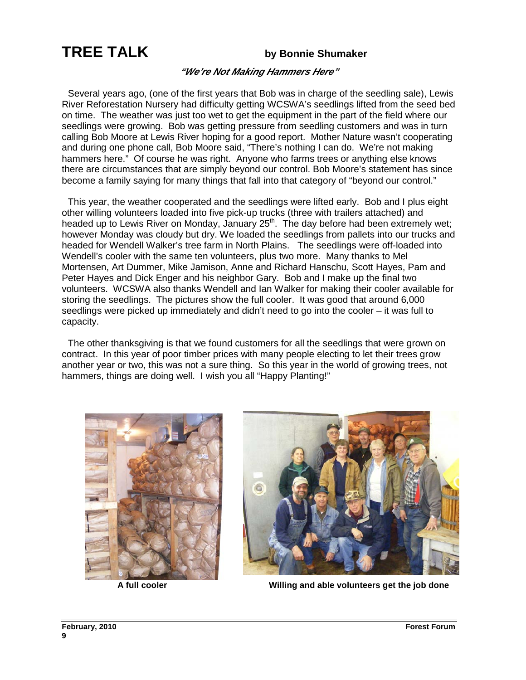# **TREE TALK by Bonnie Shumaker**

### **"We're Not Making Hammers Here"**

 Several years ago, (one of the first years that Bob was in charge of the seedling sale), Lewis River Reforestation Nursery had difficulty getting WCSWA's seedlings lifted from the seed bed on time. The weather was just too wet to get the equipment in the part of the field where our seedlings were growing. Bob was getting pressure from seedling customers and was in turn calling Bob Moore at Lewis River hoping for a good report. Mother Nature wasn't cooperating and during one phone call, Bob Moore said, "There's nothing I can do. We're not making hammers here." Of course he was right. Anyone who farms trees or anything else knows there are circumstances that are simply beyond our control. Bob Moore's statement has since become a family saying for many things that fall into that category of "beyond our control."

 This year, the weather cooperated and the seedlings were lifted early. Bob and I plus eight other willing volunteers loaded into five pick-up trucks (three with trailers attached) and headed up to Lewis River on Monday, January  $25<sup>th</sup>$ . The day before had been extremely wet; however Monday was cloudy but dry. We loaded the seedlings from pallets into our trucks and headed for Wendell Walker's tree farm in North Plains. The seedlings were off-loaded into Wendell's cooler with the same ten volunteers, plus two more. Many thanks to Mel Mortensen, Art Dummer, Mike Jamison, Anne and Richard Hanschu, Scott Hayes, Pam and Peter Hayes and Dick Enger and his neighbor Gary. Bob and I make up the final two volunteers. WCSWA also thanks Wendell and Ian Walker for making their cooler available for storing the seedlings. The pictures show the full cooler. It was good that around 6,000 seedlings were picked up immediately and didn't need to go into the cooler – it was full to capacity.

 The other thanksgiving is that we found customers for all the seedlings that were grown on contract. In this year of poor timber prices with many people electing to let their trees grow another year or two, this was not a sure thing. So this year in the world of growing trees, not hammers, things are doing well. I wish you all "Happy Planting!"





**A full cooler Willing and able volunteers get the job done**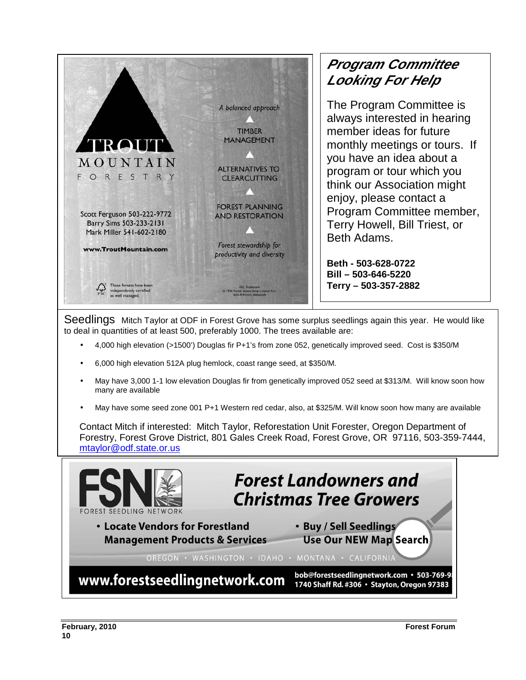

# **Program Committee Looking For Help**

The Program Committee is always interested in hearing member ideas for future monthly meetings or tours. If you have an idea about a program or tour which you think our Association might enjoy, please contact a Program Committee member, Terry Howell, Bill Triest, or Beth Adams.

**Beth - 503-628-0722 Bill – 503-646-5220 Terry – 503-357-2882** 

Seedlings Mitch Taylor at ODF in Forest Grove has some surplus seedlings again this year. He would like to deal in quantities of at least 500, preferably 1000. The trees available are:

- 4,000 high elevation (>1500') Douglas fir P+1's from zone 052, genetically improved seed. Cost is \$350/M
- 6,000 high elevation 512A plug hemlock, coast range seed, at \$350/M.
- May have 3,000 1-1 low elevation Douglas fir from genetically improved 052 seed at \$313/M. Will know soon how many are available
- May have some seed zone 001 P+1 Western red cedar, also, at \$325/M. Will know soon how many are available

Contact Mitch if interested: Mitch Taylor, Reforestation Unit Forester, Oregon Department of Forestry, Forest Grove District, 801 Gales Creek Road, Forest Grove, OR 97116, 503-359-7444, mtaylor@odf.state.or.us

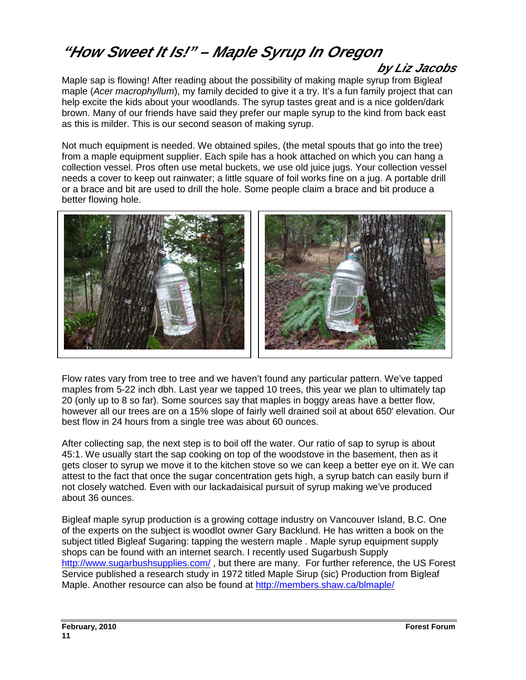# **"How Sweet It Is!" – Maple Syrup In Oregon**

## **by Liz Jacobs**

Maple sap is flowing! After reading about the possibility of making maple syrup from Bigleaf maple (Acer macrophyllum), my family decided to give it a try. It's a fun family project that can help excite the kids about your woodlands. The syrup tastes great and is a nice golden/dark brown. Many of our friends have said they prefer our maple syrup to the kind from back east as this is milder. This is our second season of making syrup.

Not much equipment is needed. We obtained spiles, (the metal spouts that go into the tree) from a maple equipment supplier. Each spile has a hook attached on which you can hang a collection vessel. Pros often use metal buckets, we use old juice jugs. Your collection vessel needs a cover to keep out rainwater; a little square of foil works fine on a jug. A portable drill or a brace and bit are used to drill the hole. Some people claim a brace and bit produce a better flowing hole.



Flow rates vary from tree to tree and we haven't found any particular pattern. We've tapped maples from 5-22 inch dbh. Last year we tapped 10 trees, this year we plan to ultimately tap 20 (only up to 8 so far). Some sources say that maples in boggy areas have a better flow, however all our trees are on a 15% slope of fairly well drained soil at about 650' elevation. Our best flow in 24 hours from a single tree was about 60 ounces.

After collecting sap, the next step is to boil off the water. Our ratio of sap to syrup is about 45:1. We usually start the sap cooking on top of the woodstove in the basement, then as it gets closer to syrup we move it to the kitchen stove so we can keep a better eye on it. We can attest to the fact that once the sugar concentration gets high, a syrup batch can easily burn if not closely watched. Even with our lackadaisical pursuit of syrup making we've produced about 36 ounces.

Bigleaf maple syrup production is a growing cottage industry on Vancouver Island, B.C. One of the experts on the subject is woodlot owner Gary Backlund. He has written a book on the subject titled Bigleaf Sugaring: tapping the western maple . Maple syrup equipment supply shops can be found with an internet search. I recently used Sugarbush Supply http://www.sugarbushsupplies.com/, but there are many. For further reference, the US Forest Service published a research study in 1972 titled Maple Sirup (sic) Production from Bigleaf Maple. Another resource can also be found at http://members.shaw.ca/blmaple/